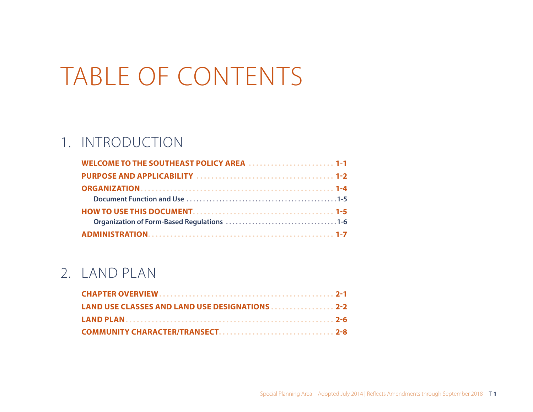# TABLE OF CONTENTS

# 1. INTRODUCTION

| WELCOME TO THE SOUTHEAST POLICY AREA  1-1 |
|-------------------------------------------|
|                                           |
|                                           |
|                                           |
|                                           |
|                                           |
|                                           |

### 2. LAND PLAN

| LAND USE CLASSES AND LAND USE DESIGNATIONS 2-2 |  |
|------------------------------------------------|--|
|                                                |  |
|                                                |  |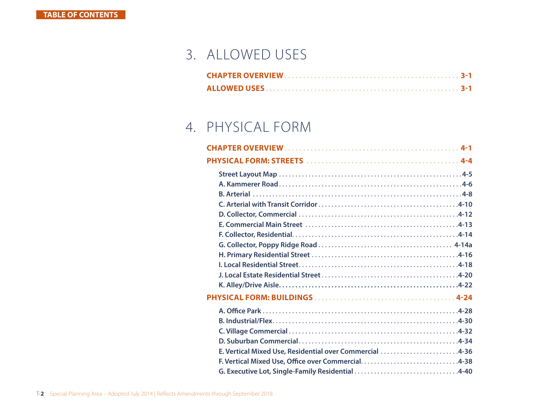## 3. ALLOWED USES

# 4. PHYSICAL FORM

| E. Vertical Mixed Use, Residential over Commercial 4-36 |  |
|---------------------------------------------------------|--|
|                                                         |  |
| G. Executive Lot, Single-Family Residential 4-40        |  |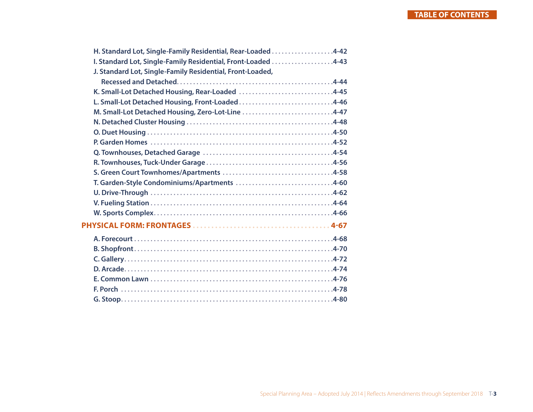| H. Standard Lot, Single-Family Residential, Rear-Loaded4-42   |  |
|---------------------------------------------------------------|--|
| I. Standard Lot, Single-Family Residential, Front-Loaded 4-43 |  |
| J. Standard Lot, Single-Family Residential, Front-Loaded,     |  |
|                                                               |  |
| K. Small-Lot Detached Housing, Rear-Loaded 4-45               |  |
| L. Small-Lot Detached Housing, Front-Loaded4-46               |  |
| M. Small-Lot Detached Housing, Zero-Lot-Line 4-47             |  |
|                                                               |  |
|                                                               |  |
|                                                               |  |
|                                                               |  |
|                                                               |  |
|                                                               |  |
| T. Garden-Style Condominiums/Apartments 4-60                  |  |
|                                                               |  |
|                                                               |  |
|                                                               |  |
|                                                               |  |
|                                                               |  |
|                                                               |  |
|                                                               |  |
|                                                               |  |
|                                                               |  |
|                                                               |  |
|                                                               |  |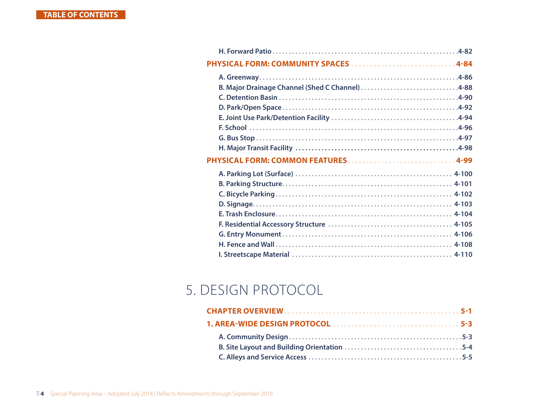| PHYSICAL FORM: COMMUNITY SPACES  4-84           |  |
|-------------------------------------------------|--|
|                                                 |  |
| B. Major Drainage Channel (Shed C Channel) 4-88 |  |
|                                                 |  |
|                                                 |  |
|                                                 |  |
|                                                 |  |
|                                                 |  |
|                                                 |  |
|                                                 |  |
|                                                 |  |
|                                                 |  |
|                                                 |  |
|                                                 |  |
|                                                 |  |
|                                                 |  |
|                                                 |  |
|                                                 |  |
|                                                 |  |

## 5. DESIGN PROTOCOL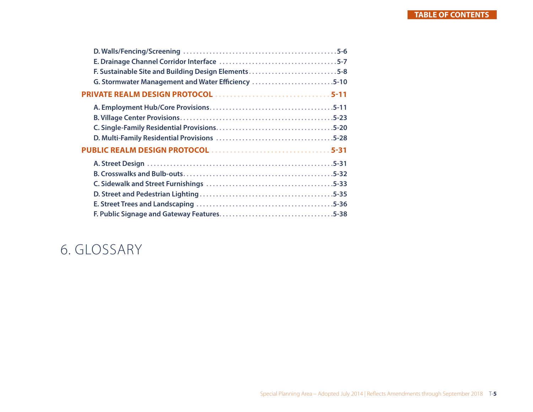| F. Sustainable Site and Building Design Elements5-8 |
|-----------------------------------------------------|
| G. Stormwater Management and Water Efficiency 5-10  |
| PRIVATE REALM DESIGN PROTOCOL 5-11                  |
|                                                     |
|                                                     |
|                                                     |
|                                                     |
|                                                     |
|                                                     |
|                                                     |
|                                                     |
|                                                     |
|                                                     |
|                                                     |

### 6. GLOSSARY